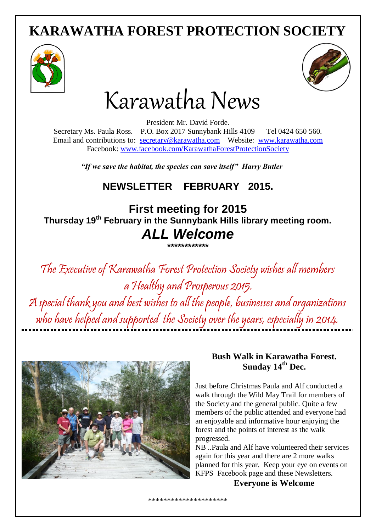# **KARAWATHA FOREST PROTECTION SOCIETY**





# Karawatha News

President Mr. David Forde. Secretary Ms. Paula Ross. P.O. Box 2017 Sunnybank Hills 4109 Tel 0424 650 560. Email and contributions to: [secretary@karawatha.com](mailto:secretary@karawatha.com) Website: [www.karawatha.com](http://www.karawatha.com/) Facebook: [www.facebook.com/KarawathaForestProtectionSociety](http://www.facebook.com/KarawathaForestProtectionSociety)

*"If we save the habitat, the species can save itself" Harry Butler* 

### **NEWSLETTER FEBRUARY 2015.**

**First meeting for 2015 Thursday 19th February in the Sunnybank Hills library meeting room.**

## *ALL Welcome* **\*\*\*\*\*\*\*\*\*\*\*\***

The Executive of Karawatha Forest Protection Society wishes all members a Healthy and Prosperous 2015. A special thank you and best wishes to all the people, businesses and organizations who have helped and supported the Society over the years, especially in 2014.



#### **Bush Walk in Karawatha Forest. Sunday 14th Dec.**

Just before Christmas Paula and Alf conducted a walk through the Wild May Trail for members of the Society and the general public. Quite a few members of the public attended and everyone had an enjoyable and informative hour enjoying the forest and the points of interest as the walk progressed.

NB ..Paula and Alf have volunteered their services again for this year and there are 2 more walks planned for this year. Keep your eye on events on KFPS Facebook page and these Newsletters.

**Everyone is Welcome**